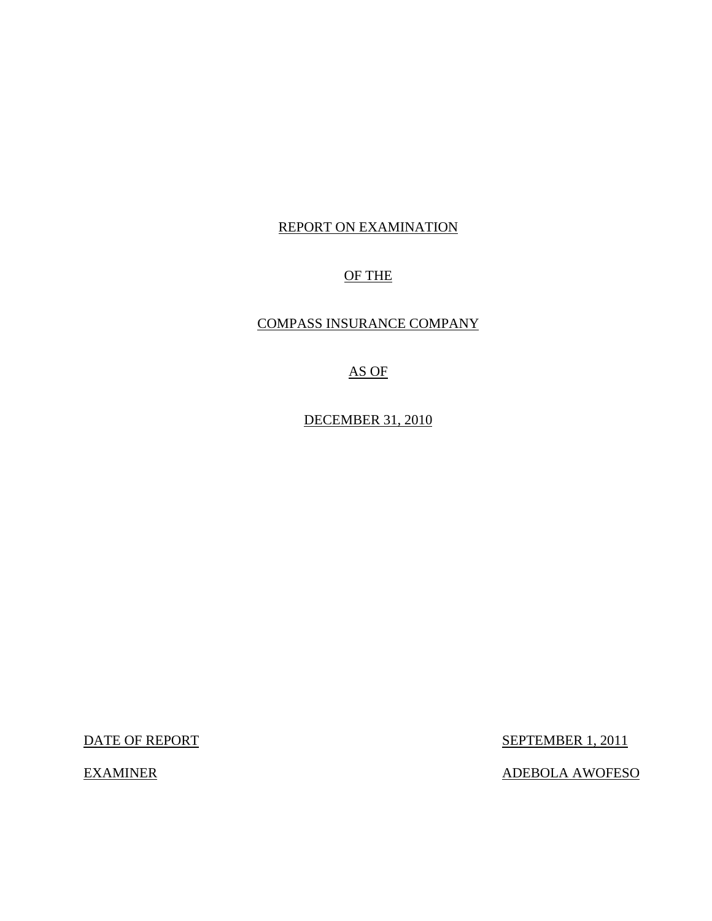# REPORT ON EXAMINATION

# OF THE

# COMPASS INSURANCE COMPANY

# AS OF

DECEMBER 31, 2010

DATE OF REPORT SEPTEMBER 1, 2011

EXAMINER ADEBOLA AWOFESO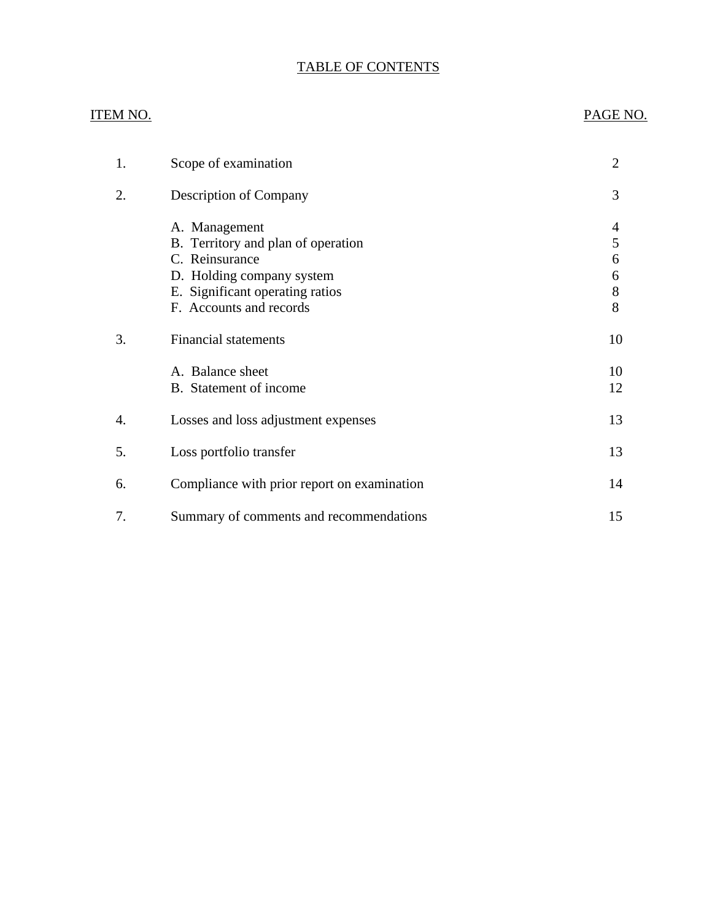# TABLE OF CONTENTS

# ITEM NO. PAGE NO.

| 1. | Scope of examination                                                                                                                                             | $\overline{2}$             |
|----|------------------------------------------------------------------------------------------------------------------------------------------------------------------|----------------------------|
| 2. | Description of Company                                                                                                                                           | 3                          |
|    | A. Management<br>B. Territory and plan of operation<br>C. Reinsurance<br>D. Holding company system<br>E. Significant operating ratios<br>F. Accounts and records | 4<br>5<br>6<br>6<br>8<br>8 |
| 3. | <b>Financial statements</b>                                                                                                                                      | 10                         |
|    | A. Balance sheet<br>B. Statement of income                                                                                                                       | 10<br>12                   |
| 4. | Losses and loss adjustment expenses                                                                                                                              | 13                         |
| 5. | Loss portfolio transfer                                                                                                                                          | 13                         |
| 6. | Compliance with prior report on examination                                                                                                                      | 14                         |
| 7. | Summary of comments and recommendations                                                                                                                          | 15                         |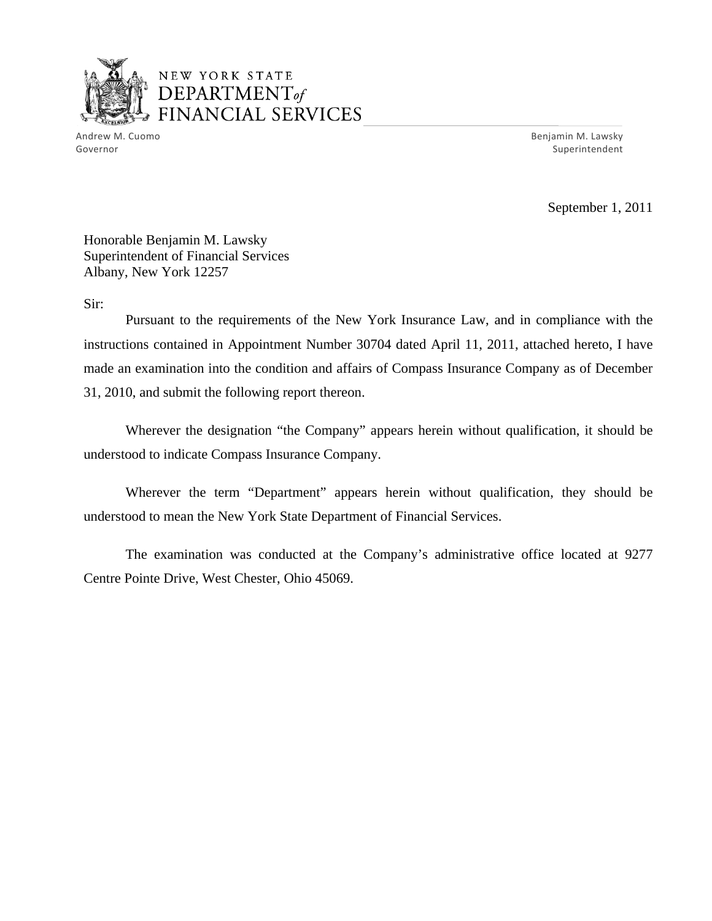

Andrew M. Cuomo Benjamin M. Lawsky Governor Superintendent and Superintendent Superintendent Superintendent Superintendent Superintendent Superintendent

September 1, 2011

Honorable Benjamin M. Lawsky Superintendent of Financial Services Albany, New York 12257

Sir:

Pursuant to the requirements of the New York Insurance Law, and in compliance with the instructions contained in Appointment Number 30704 dated April 11, 2011, attached hereto, I have made an examination into the condition and affairs of Compass Insurance Company as of December 31, 2010, and submit the following report thereon.

Wherever the designation "the Company" appears herein without qualification, it should be understood to indicate Compass Insurance Company.

Wherever the term "Department" appears herein without qualification, they should be understood to mean the New York State Department of Financial Services.

The examination was conducted at the Company's administrative office located at 9277 Centre Pointe Drive, West Chester, Ohio 45069.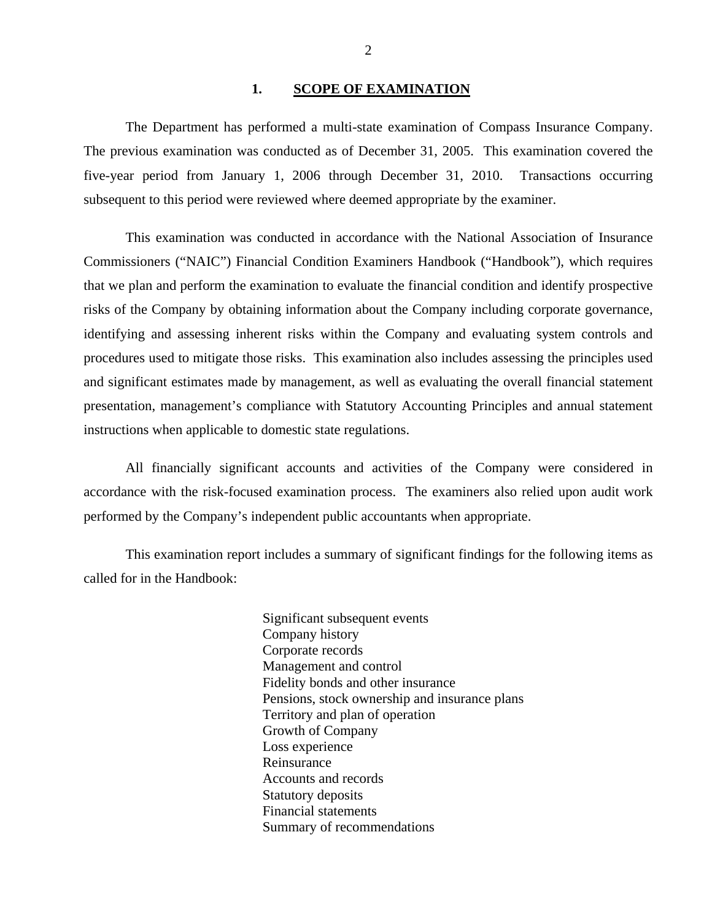#### 1. SCOPE OF EXAMINATION

<span id="page-3-0"></span>The Department has performed a multi-state examination of Compass Insurance Company. The previous examination was conducted as of December 31, 2005. This examination covered the five-year period from January 1, 2006 through December 31, 2010. Transactions occurring subsequent to this period were reviewed where deemed appropriate by the examiner.

This examination was conducted in accordance with the National Association of Insurance Commissioners ("NAIC") Financial Condition Examiners Handbook ("Handbook"), which requires that we plan and perform the examination to evaluate the financial condition and identify prospective risks of the Company by obtaining information about the Company including corporate governance, identifying and assessing inherent risks within the Company and evaluating system controls and procedures used to mitigate those risks. This examination also includes assessing the principles used and significant estimates made by management, as well as evaluating the overall financial statement presentation, management's compliance with Statutory Accounting Principles and annual statement instructions when applicable to domestic state regulations.

All financially significant accounts and activities of the Company were considered in accordance with the risk-focused examination process. The examiners also relied upon audit work performed by the Company's independent public accountants when appropriate.

This examination report includes a summary of significant findings for the following items as called for in the Handbook:

> Significant subsequent events Company history Corporate records Management and control Fidelity bonds and other insurance Pensions, stock ownership and insurance plans Territory and plan of operation Growth of Company Loss experience Reinsurance Accounts and records Statutory deposits Financial statements Summary of recommendations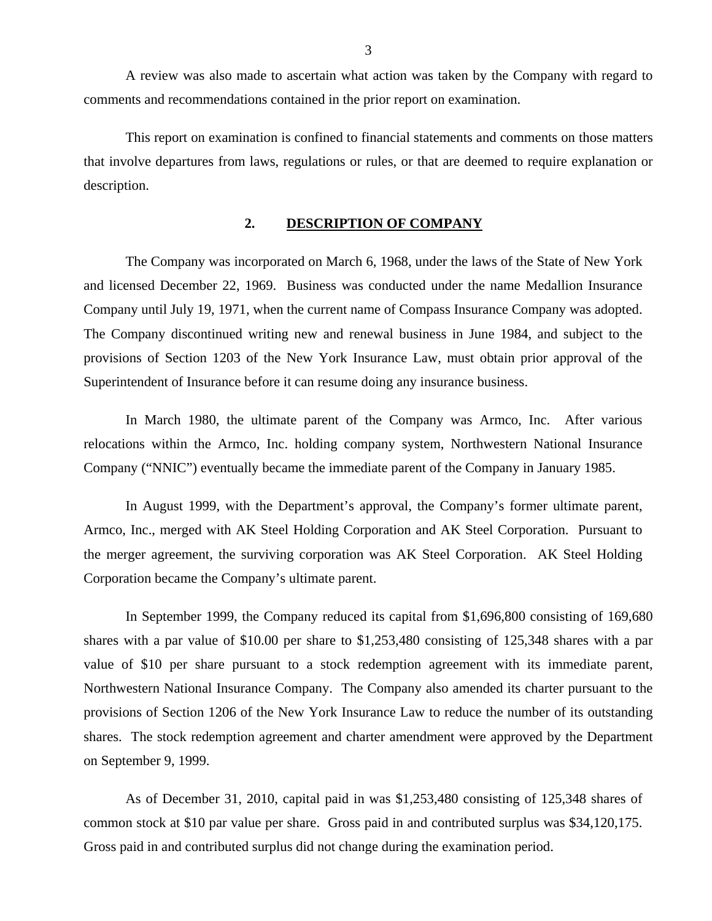<span id="page-4-0"></span>A review was also made to ascertain what action was taken by the Company with regard to comments and recommendations contained in the prior report on examination.

This report on examination is confined to financial statements and comments on those matters that involve departures from laws, regulations or rules, or that are deemed to require explanation or description.

#### **2. DESCRIPTION OF COMPANY**

The Company was incorporated on March 6, 1968, under the laws of the State of New York and licensed December 22, 1969. Business was conducted under the name Medallion Insurance Company until July 19, 1971, when the current name of Compass Insurance Company was adopted. The Company discontinued writing new and renewal business in June 1984, and subject to the provisions of Section 1203 of the New York Insurance Law, must obtain prior approval of the Superintendent of Insurance before it can resume doing any insurance business.

In March 1980, the ultimate parent of the Company was Armco, Inc. After various relocations within the Armco, Inc. holding company system, Northwestern National Insurance Company ("NNIC") eventually became the immediate parent of the Company in January 1985.

In August 1999, with the Department's approval, the Company's former ultimate parent, Armco, Inc., merged with AK Steel Holding Corporation and AK Steel Corporation. Pursuant to the merger agreement, the surviving corporation was AK Steel Corporation. AK Steel Holding Corporation became the Company's ultimate parent.

In September 1999, the Company reduced its capital from \$1,696,800 consisting of 169,680 shares with a par value of \$10.00 per share to \$1,253,480 consisting of 125,348 shares with a par value of \$10 per share pursuant to a stock redemption agreement with its immediate parent, Northwestern National Insurance Company. The Company also amended its charter pursuant to the provisions of Section 1206 of the New York Insurance Law to reduce the number of its outstanding shares. The stock redemption agreement and charter amendment were approved by the Department on September 9, 1999.

As of December 31, 2010, capital paid in was \$1,253,480 consisting of 125,348 shares of common stock at \$10 par value per share. Gross paid in and contributed surplus was \$34,120,175. Gross paid in and contributed surplus did not change during the examination period.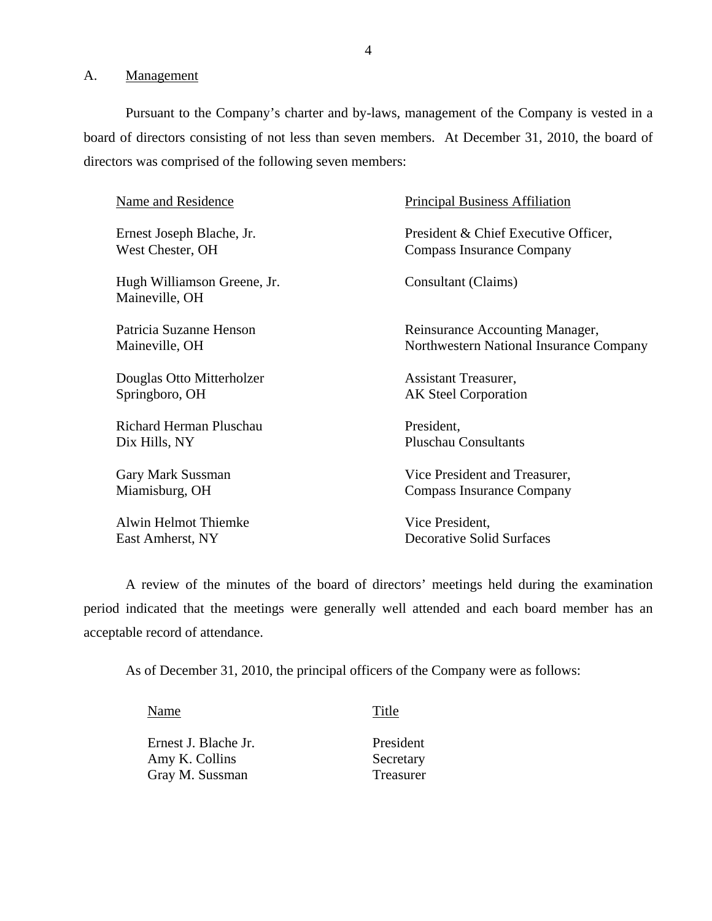A. Management

Pursuant to the Company's charter and by-laws, management of the Company is vested in a board of directors consisting of not less than seven members. At December 31, 2010, the board of directors was comprised of the following seven members:

| Name and Residence                            | <b>Principal Business Affiliation</b>   |
|-----------------------------------------------|-----------------------------------------|
| Ernest Joseph Blache, Jr.                     | President & Chief Executive Officer,    |
| West Chester, OH                              | Compass Insurance Company               |
| Hugh Williamson Greene, Jr.<br>Maineville, OH | Consultant (Claims)                     |
| Patricia Suzanne Henson                       | Reinsurance Accounting Manager,         |
| Maineville, OH                                | Northwestern National Insurance Company |
| Douglas Otto Mitterholzer                     | Assistant Treasurer,                    |
| Springboro, OH                                | <b>AK Steel Corporation</b>             |
| Richard Herman Pluschau                       | President,                              |
| Dix Hills, NY                                 | <b>Pluschau Consultants</b>             |
| Gary Mark Sussman                             | Vice President and Treasurer,           |
| Miamisburg, OH                                | <b>Compass Insurance Company</b>        |
| <b>Alwin Helmot Thiemke</b>                   | Vice President,                         |
| East Amherst, NY                              | <b>Decorative Solid Surfaces</b>        |

A review of the minutes of the board of directors' meetings held during the examination period indicated that the meetings were generally well attended and each board member has an acceptable record of attendance.

As of December 31, 2010, the principal officers of the Company were as follows:

Name Title

| Ernest J. Blache Jr. | President |
|----------------------|-----------|
| Amy K. Collins       | Secretary |
| Gray M. Sussman      | Treasurer |

President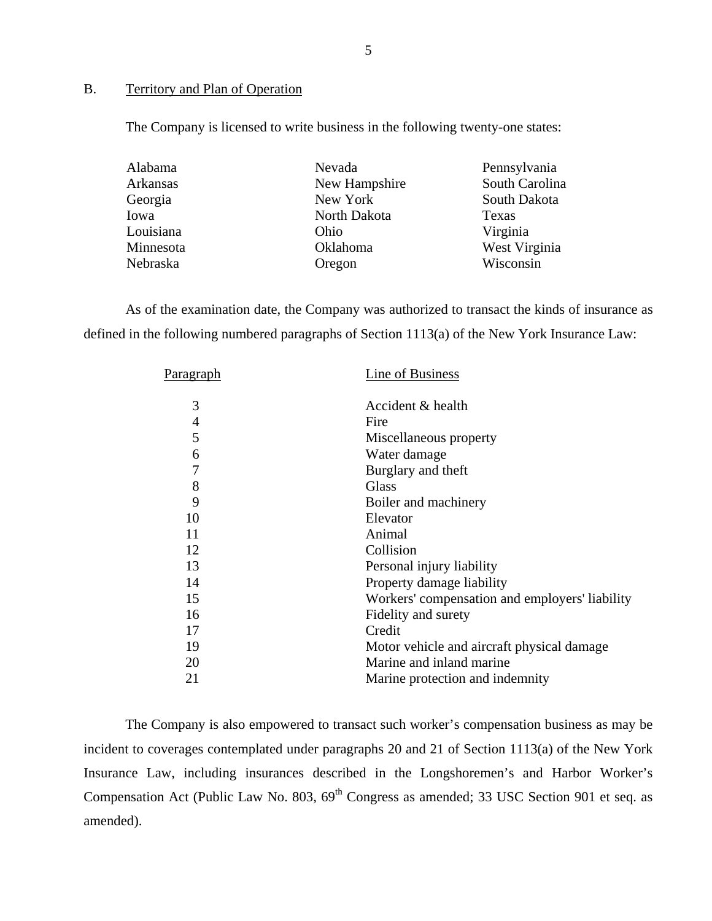#### B. Territory and Plan of Operation

The Company is licensed to write business in the following twenty-one states:

| Alabama   | Nevada        | Pennsylvania   |
|-----------|---------------|----------------|
| Arkansas  | New Hampshire | South Carolina |
| Georgia   | New York      | South Dakota   |
| Iowa      | North Dakota  | Texas          |
| Louisiana | Ohio          | Virginia       |
| Minnesota | Oklahoma      | West Virginia  |
| Nebraska  | Oregon        | Wisconsin      |

As of the examination date, the Company was authorized to transact the kinds of insurance as defined in the following numbered paragraphs of Section 1113(a) of the New York Insurance Law:

| <u>Paragraph</u> | Line of Business                               |
|------------------|------------------------------------------------|
| 3                | Accident & health                              |
| 4                | Fire                                           |
| 5                | Miscellaneous property                         |
| 6                | Water damage                                   |
| 7                | Burglary and theft                             |
| 8                | Glass                                          |
| 9                | Boiler and machinery                           |
| 10               | Elevator                                       |
| 11               | Animal                                         |
| 12               | Collision                                      |
| 13               | Personal injury liability                      |
| 14               | Property damage liability                      |
| 15               | Workers' compensation and employers' liability |
| 16               | Fidelity and surety                            |
| 17               | Credit                                         |
| 19               | Motor vehicle and aircraft physical damage     |
| 20               | Marine and inland marine                       |
| 21               | Marine protection and indemnity                |
|                  |                                                |

The Company is also empowered to transact such worker's compensation business as may be incident to coverages contemplated under paragraphs 20 and 21 of Section 1113(a) of the New York Insurance Law, including insurances described in the Longshoremen's and Harbor Worker's Compensation Act (Public Law No. 803, 69<sup>th</sup> Congress as amended; 33 USC Section 901 et seq. as amended).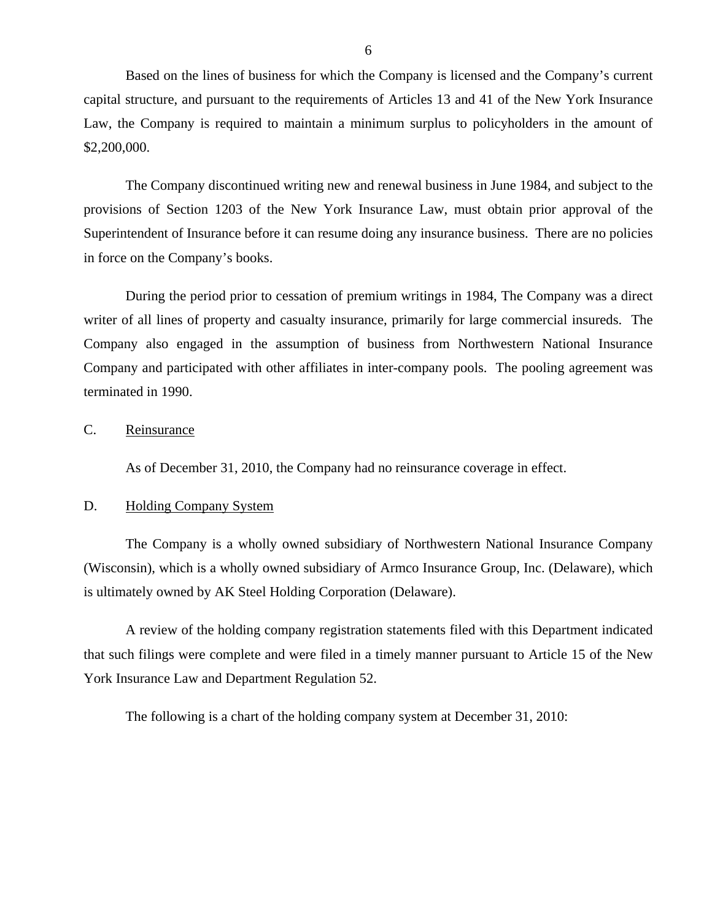<span id="page-7-0"></span>Based on the lines of business for which the Company is licensed and the Company's current capital structure, and pursuant to the requirements of Articles 13 and 41 of the New York Insurance Law, the Company is required to maintain a minimum surplus to policyholders in the amount of \$2,200,000.

The Company discontinued writing new and renewal business in June 1984, and subject to the provisions of Section 1203 of the New York Insurance Law, must obtain prior approval of the Superintendent of Insurance before it can resume doing any insurance business. There are no policies in force on the Company's books.

During the period prior to cessation of premium writings in 1984, The Company was a direct writer of all lines of property and casualty insurance, primarily for large commercial insureds. The Company also engaged in the assumption of business from Northwestern National Insurance Company and participated with other affiliates in inter-company pools. The pooling agreement was terminated in 1990.

### C. Reinsurance

As of December 31, 2010, the Company had no reinsurance coverage in effect.

### D. Holding Company System

The Company is a wholly owned subsidiary of Northwestern National Insurance Company (Wisconsin), which is a wholly owned subsidiary of Armco Insurance Group, Inc. (Delaware), which is ultimately owned by AK Steel Holding Corporation (Delaware).

A review of the holding company registration statements filed with this Department indicated that such filings were complete and were filed in a timely manner pursuant to Article 15 of the New York Insurance Law and Department Regulation 52.

The following is a chart of the holding company system at December 31, 2010: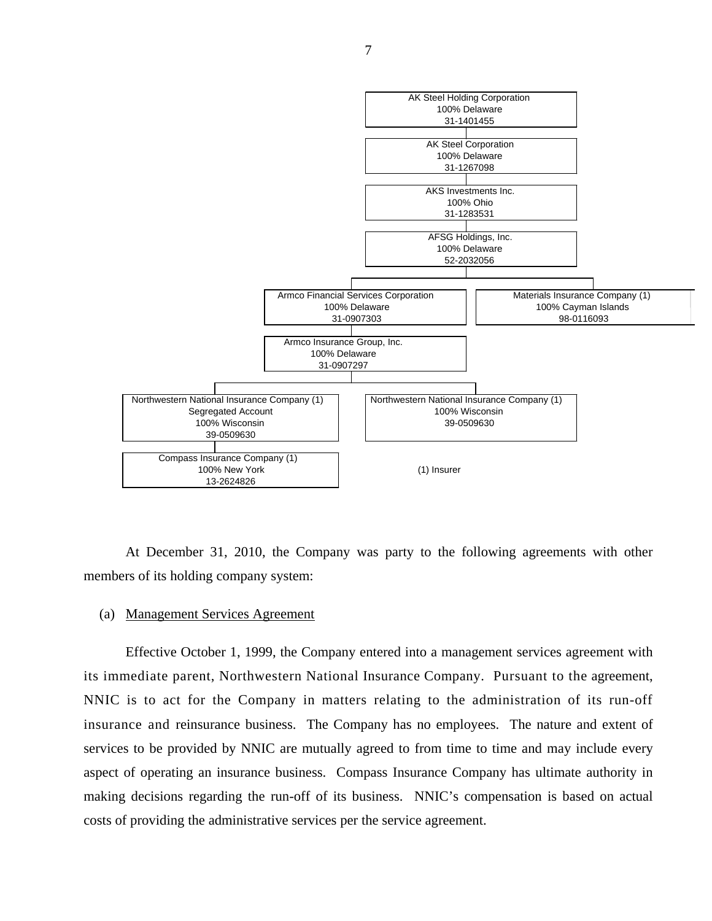

At December 31, 2010, the Company was party to the following agreements with other members of its holding company system:

#### (a) Management Services Agreement

Effective October 1, 1999, the Company entered into a management services agreement with its immediate parent, Northwestern National Insurance Company. Pursuant to the agreement, NNIC is to act for the Company in matters relating to the administration of its run-off insurance and reinsurance business. The Company has no employees. The nature and extent of services to be provided by NNIC are mutually agreed to from time to time and may include every aspect of operating an insurance business. Compass Insurance Company has ultimate authority in making decisions regarding the run-off of its business. NNIC's compensation is based on actual costs of providing the administrative services per the service agreement.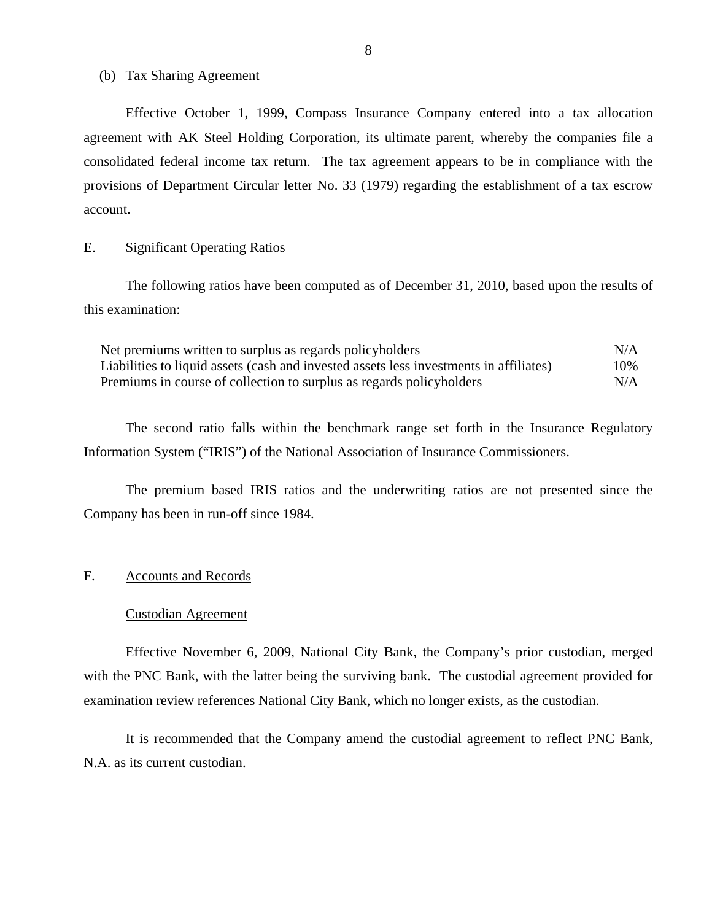#### <span id="page-9-0"></span>(b) Tax Sharing Agreement

Effective October 1, 1999, Compass Insurance Company entered into a tax allocation agreement with AK Steel Holding Corporation, its ultimate parent, whereby the companies file a consolidated federal income tax return. The tax agreement appears to be in compliance with the provisions of Department Circular letter No. 33 (1979) regarding the establishment of a tax escrow account.

#### E. Significant Operating Ratios

The following ratios have been computed as of December 31, 2010, based upon the results of this examination:

| Net premiums written to surplus as regards policyholders                               | N/A |
|----------------------------------------------------------------------------------------|-----|
| Liabilities to liquid assets (cash and invested assets less investments in affiliates) | 10% |
| Premiums in course of collection to surplus as regards policyholders                   | N/A |

The second ratio falls within the benchmark range set forth in the Insurance Regulatory Information System ("IRIS") of the National Association of Insurance Commissioners.

The premium based IRIS ratios and the underwriting ratios are not presented since the Company has been in run-off since 1984.

#### F. Accounts and Records

#### Custodian Agreement

Effective November 6, 2009, National City Bank, the Company's prior custodian, merged with the PNC Bank, with the latter being the surviving bank. The custodial agreement provided for examination review references National City Bank, which no longer exists, as the custodian.

It is recommended that the Company amend the custodial agreement to reflect PNC Bank, N.A. as its current custodian.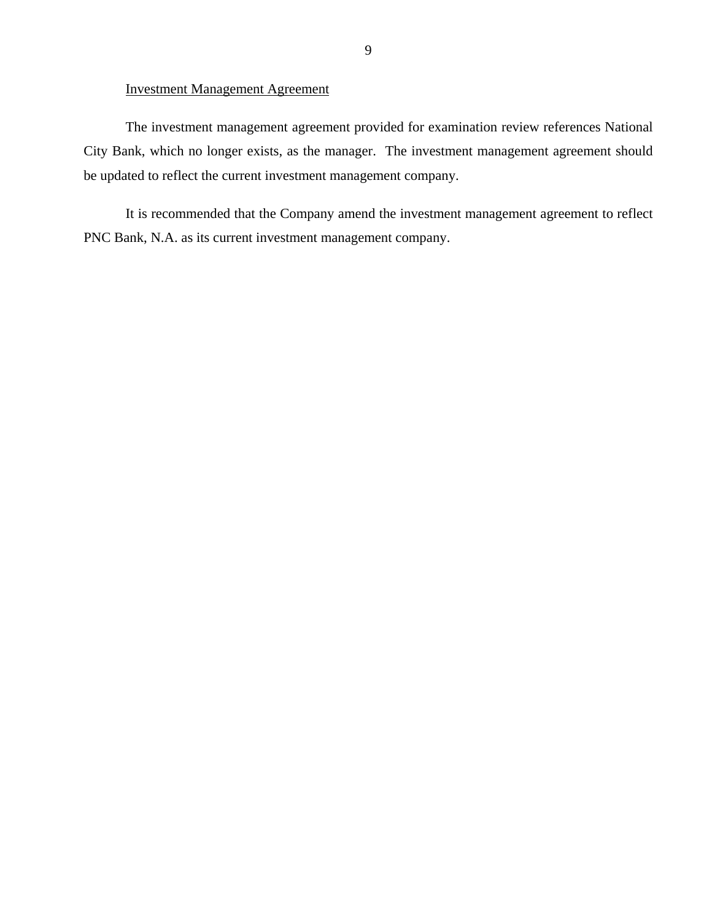#### Investment Management Agreement

The investment management agreement provided for examination review references National City Bank, which no longer exists, as the manager. The investment management agreement should be updated to reflect the current investment management company.

It is recommended that the Company amend the investment management agreement to reflect PNC Bank, N.A. as its current investment management company.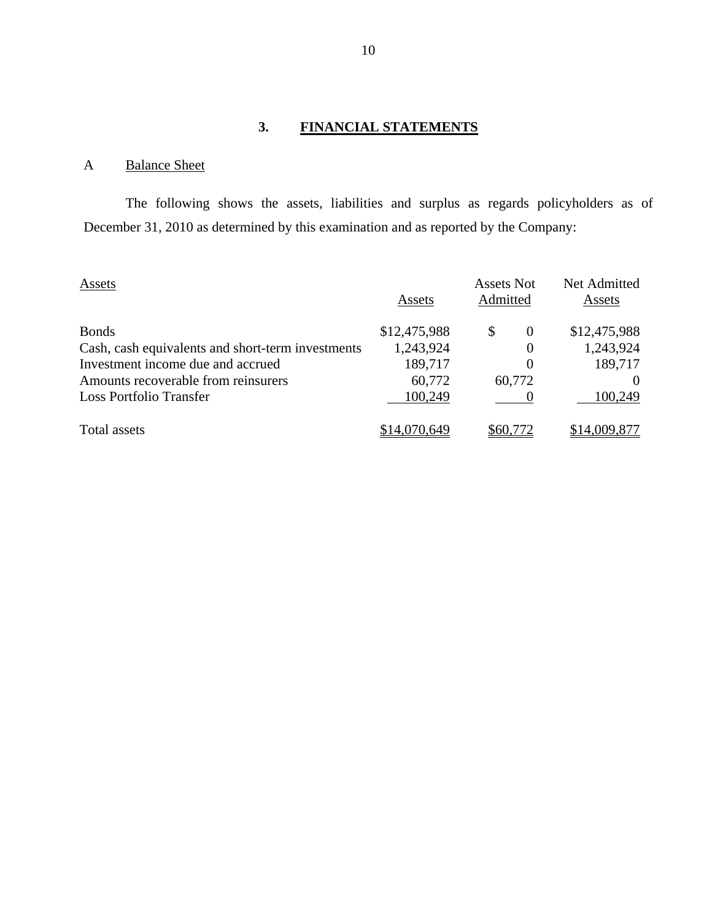# **3. FINANCIAL STATEMENTS**

# A Balance Sheet

The following shows the assets, liabilities and surplus as regards policyholders as of December 31, 2010 as determined by this examination and as reported by the Company:

| Assets                                            | Assets       | Assets Not<br>Admitted | Net Admitted<br>Assets |
|---------------------------------------------------|--------------|------------------------|------------------------|
| <b>Bonds</b>                                      | \$12,475,988 | \$<br>$\theta$         | \$12,475,988           |
| Cash, cash equivalents and short-term investments | 1,243,924    | $\theta$               | 1,243,924              |
| Investment income due and accrued                 | 189,717      | 0                      | 189,717                |
| Amounts recoverable from reinsurers               | 60,772       | 60,772                 |                        |
| <b>Loss Portfolio Transfer</b>                    | 100,249      |                        | 100,249                |
| Total assets                                      | \$14,070,649 | \$60.772               | \$14,009,877           |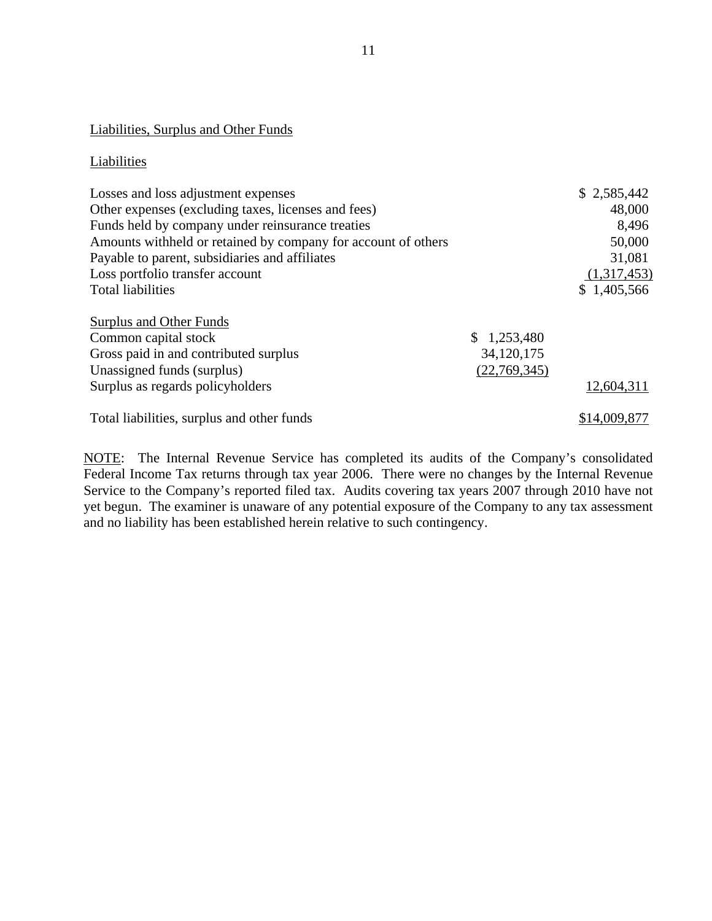# Liabilities, Surplus and Other Funds

#### Liabilities

| Losses and loss adjustment expenses<br>Other expenses (excluding taxes, licenses and fees)<br>Funds held by company under reinsurance treaties<br>Amounts withheld or retained by company for account of others<br>Payable to parent, subsidiaries and affiliates<br>Loss portfolio transfer account<br><b>Total liabilities</b> |                                           | \$2,585,442<br>48,000<br>8,496<br>50,000<br>31,081<br>(1,317,453) |
|----------------------------------------------------------------------------------------------------------------------------------------------------------------------------------------------------------------------------------------------------------------------------------------------------------------------------------|-------------------------------------------|-------------------------------------------------------------------|
|                                                                                                                                                                                                                                                                                                                                  |                                           | \$1,405,566                                                       |
| Surplus and Other Funds<br>Common capital stock<br>Gross paid in and contributed surplus<br>Unassigned funds (surplus)<br>Surplus as regards policyholders                                                                                                                                                                       | \$1,253,480<br>34,120,175<br>(22,769,345) | 12,604,311                                                        |
| Total liabilities, surplus and other funds                                                                                                                                                                                                                                                                                       |                                           | \$14,009,877                                                      |

NOTE: The Internal Revenue Service has completed its audits of the Company's consolidated Federal Income Tax returns through tax year 2006. There were no changes by the Internal Revenue Service to the Company's reported filed tax. Audits covering tax years 2007 through 2010 have not yet begun. The examiner is unaware of any potential exposure of the Company to any tax assessment and no liability has been established herein relative to such contingency.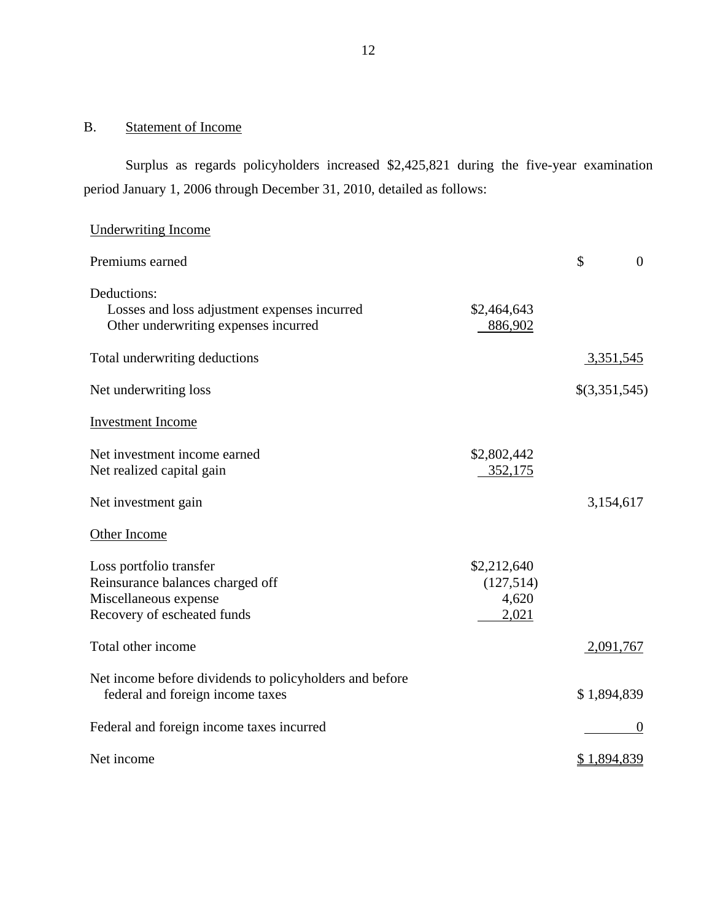#### B. Statement of Income

Underwriting Income

Surplus as regards policyholders increased \$2,425,821 during the five-year examination period January 1, 2006 through December 31, 2010, detailed as follows:

# Premiums earned  $\sim$  0 Deductions: Losses and loss adjustment expenses incurred Other underwriting expenses incurred \$2,464,643 886,902 Total underwriting deductions 3,351,545 Net underwriting loss  $\{(3,351,545)\}$ Investment Income Net investment income earned Net realized capital gain \$2,802,442 352,175 Net investment gain 3,154,617 Other Income Loss portfolio transfer Reinsurance balances charged off Miscellaneous expense Recovery of escheated funds \$2,212,640 (127,514) 4,620 2,021 Total other income 2,091,767 Net income before dividends to policyholders and before federal and foreign income taxes \$ 1,894,839 Federal and foreign income taxes incurred 0 Net income  $$ 1,894,839$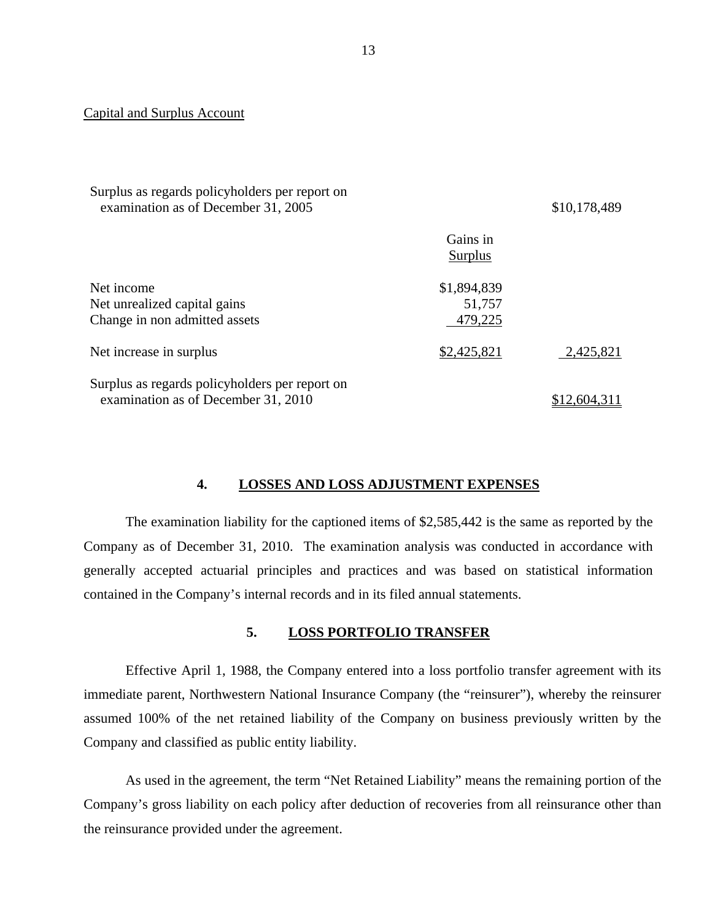#### Capital and Surplus Account

| Surplus as regards policyholders per report on<br>examination as of December 31, 2005 |                                  | \$10,178,489 |
|---------------------------------------------------------------------------------------|----------------------------------|--------------|
|                                                                                       | Gains in<br>Surplus              |              |
| Net income<br>Net unrealized capital gains<br>Change in non admitted assets           | \$1,894,839<br>51,757<br>479,225 |              |
| Net increase in surplus                                                               | \$2,425,821                      | 2,425,821    |
| Surplus as regards policyholders per report on<br>examination as of December 31, 2010 |                                  | 2.604.       |

#### **4. LOSSES AND LOSS ADJUSTMENT EXPENSES**

The examination liability for the captioned items of \$2,585,442 is the same as reported by the Company as of December 31, 2010. The examination analysis was conducted in accordance with generally accepted actuarial principles and practices and was based on statistical information contained in the Company's internal records and in its filed annual statements.

#### **5. LOSS PORTFOLIO TRANSFER**

Effective April 1, 1988, the Company entered into a loss portfolio transfer agreement with its immediate parent, Northwestern National Insurance Company (the "reinsurer"), whereby the reinsurer assumed 100% of the net retained liability of the Company on business previously written by the Company and classified as public entity liability.

As used in the agreement, the term "Net Retained Liability" means the remaining portion of the Company's gross liability on each policy after deduction of recoveries from all reinsurance other than the reinsurance provided under the agreement.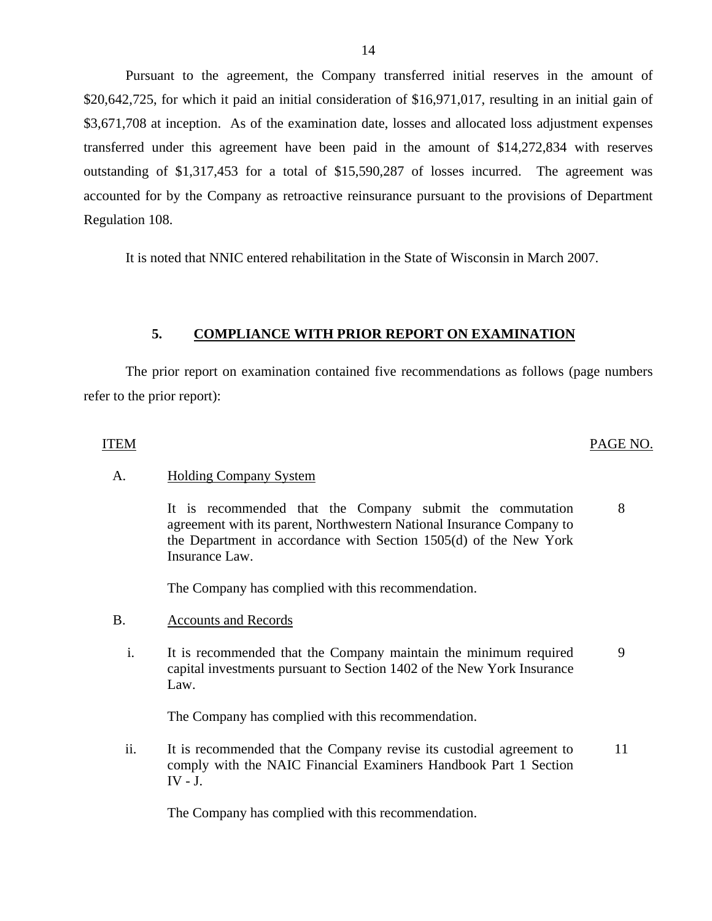Pursuant to the agreement, the Company transferred initial reserves in the amount of \$20,642,725, for which it paid an initial consideration of \$16,971,017, resulting in an initial gain of \$3,671,708 at inception. As of the examination date, losses and allocated loss adjustment expenses transferred under this agreement have been paid in the amount of \$14,272,834 with reserves outstanding of \$1,317,453 for a total of \$15,590,287 of losses incurred. The agreement was accounted for by the Company as retroactive reinsurance pursuant to the provisions of Department Regulation 108.

It is noted that NNIC entered rehabilitation in the State of Wisconsin in March 2007.

#### **5. COMPLIANCE WITH PRIOR REPORT ON EXAMINATION**

The prior report on examination contained five recommendations as follows (page numbers refer to the prior report):

#### ITEM PAGE NO.

#### A. Holding Company System

It is recommended that the Company submit the commutation agreement with its parent, Northwestern National Insurance Company to the Department in accordance with Section 1505(d) of the New York Insurance Law. 8

The Company has complied with this recommendation.

- B. Accounts and Records
	- i. It is recommended that the Company maintain the minimum required capital investments pursuant to Section 1402 of the New York Insurance Law. 9

The Company has complied with this recommendation.

ii. It is recommended that the Company revise its custodial agreement to comply with the NAIC Financial Examiners Handbook Part 1 Section IV - J. 11

The Company has complied with this recommendation.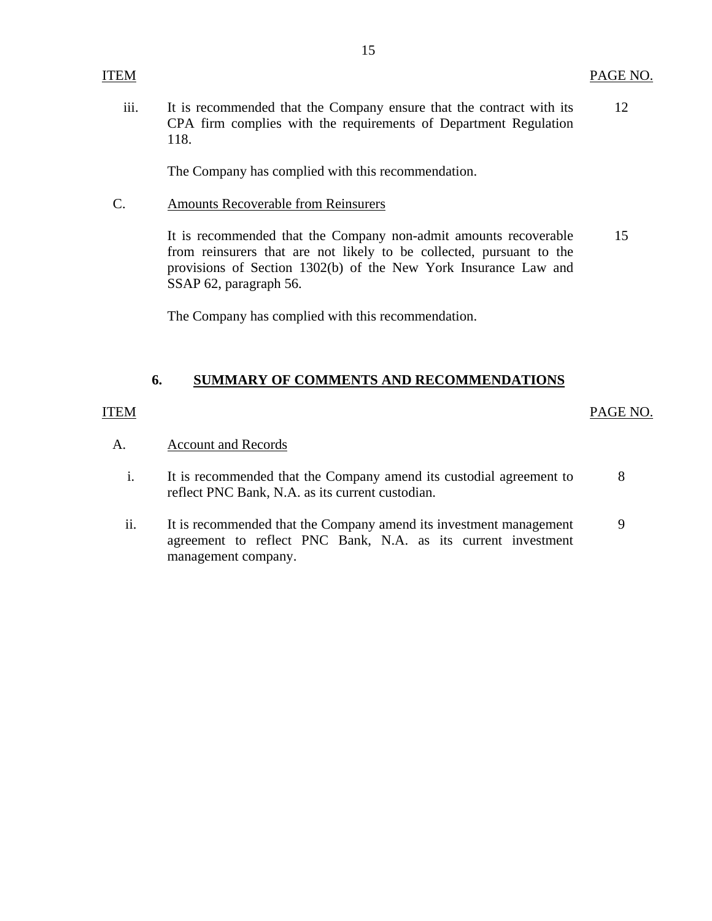iii. It is recommended that the Company ensure that the contract with its CPA firm complies with the requirements of Department Regulation 118. 12

The Company has complied with this recommendation.

C. Amounts Recoverable from Reinsurers

> It is recommended that the Company non-admit amounts recoverable from reinsurers that are not likely to be collected, pursuant to the provisions of Section 1302(b) of the New York Insurance Law and SSAP 62, paragraph 56. 15

The Company has complied with this recommendation.

# **6. SUMMARY OF COMMENTS AND RECOMMENDATIONS**

#### ITEM

### PAGE NO.

- A. Account and Records
	- i. It is recommended that the Company amend its custodial agreement to reflect PNC Bank, N.A. as its current custodian. 8
	- ii. It is recommended that the Company amend its investment management agreement to reflect PNC Bank, N.A. as its current investment management company. 9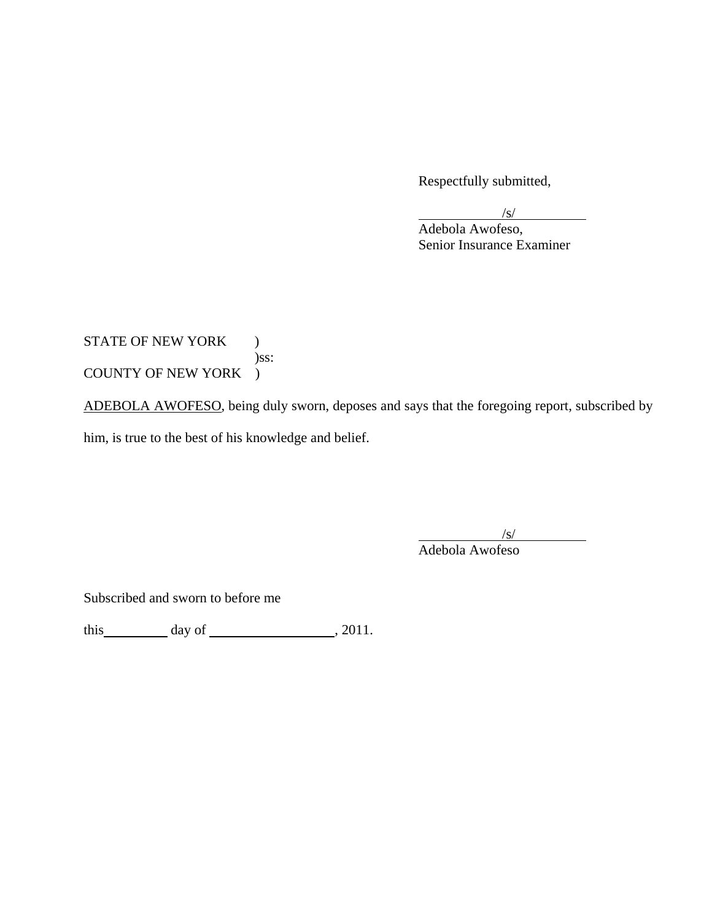Respectfully submitted,

 $\sqrt{s}$  Adebola Awofeso, Senior Insurance Examiner

# STATE OF NEW YORK ) )ss: COUNTY OF NEW YORK )

ADEBOLA AWOFESO, being duly sworn, deposes and says that the foregoing report, subscribed by him, is true to the best of his knowledge and belief.

 $\sqrt{s/}$ 

Adebola Awofeso

Subscribed and sworn to before me

this  $\qquad \qquad$  day of  $\qquad \qquad$  , 2011.